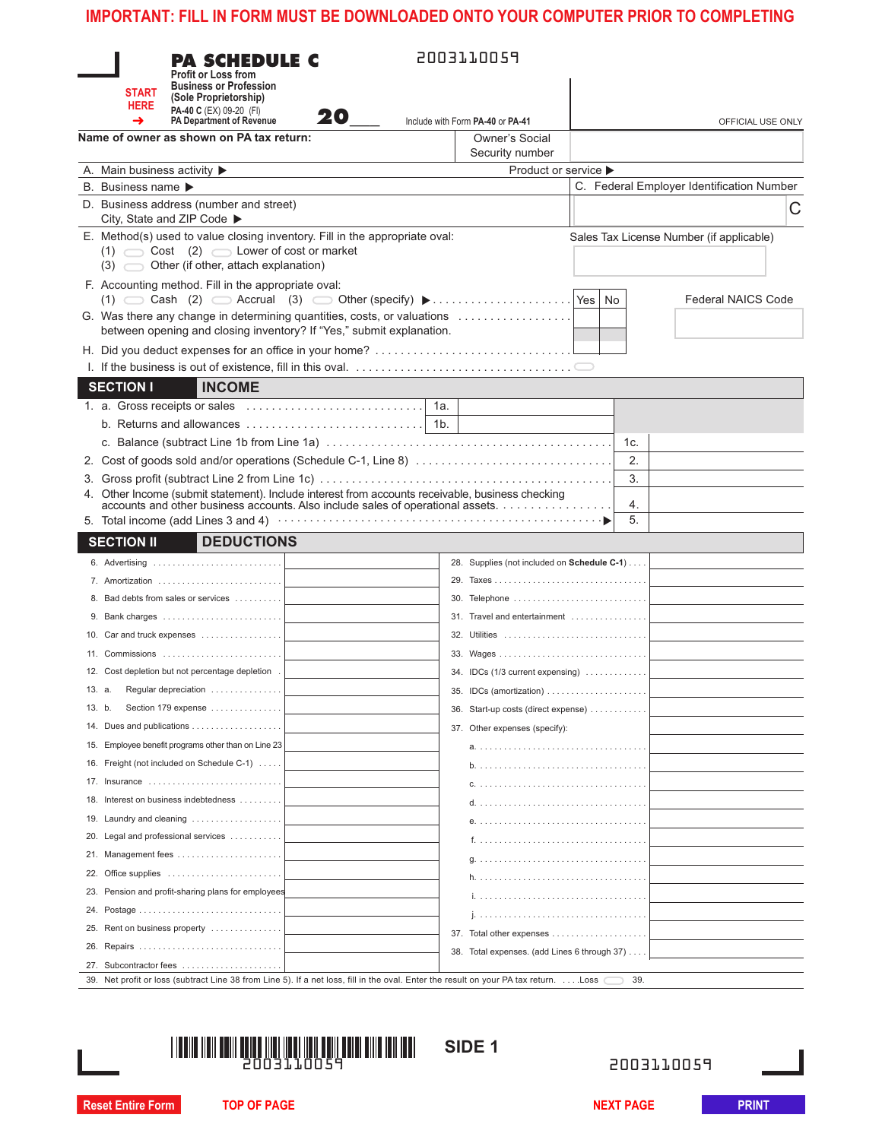|            | <b>START</b><br><b>HERE</b>                                                                                                                                                  | <b>PA SCHEDULE C</b><br><b>Profit or Loss from</b><br><b>Business or Profession</b><br>(Sole Proprietorship)<br>PA-40 C (EX) 09-20 (FI)<br>PA Department of Revenue                 | 20 — |                                          | 2003110059                                                |            |                                           |
|------------|------------------------------------------------------------------------------------------------------------------------------------------------------------------------------|-------------------------------------------------------------------------------------------------------------------------------------------------------------------------------------|------|------------------------------------------|-----------------------------------------------------------|------------|-------------------------------------------|
|            |                                                                                                                                                                              | Name of owner as shown on PA tax return:                                                                                                                                            |      |                                          | Include with Form PA-40 or PA-41<br><b>Owner's Social</b> |            | OFFICIAL USE ONLY                         |
|            |                                                                                                                                                                              | A. Main business activity $\blacktriangleright$                                                                                                                                     |      |                                          | Security number<br>Product or service ▶                   |            |                                           |
|            | B. Business name ▶                                                                                                                                                           |                                                                                                                                                                                     |      |                                          |                                                           |            | C. Federal Employer Identification Number |
|            |                                                                                                                                                                              | D. Business address (number and street)                                                                                                                                             |      |                                          |                                                           |            | C                                         |
|            |                                                                                                                                                                              | City, State and ZIP Code ▶<br>E. Method(s) used to value closing inventory. Fill in the appropriate oval:<br>$(1)$ $\cos t$ $(2)$ $\cos t$ are of cost or market                    |      | Sales Tax License Number (if applicable) |                                                           |            |                                           |
|            |                                                                                                                                                                              | $(3)$ Other (if other, attach explanation)                                                                                                                                          |      |                                          |                                                           |            |                                           |
|            |                                                                                                                                                                              | F. Accounting method. Fill in the appropriate oval:                                                                                                                                 |      |                                          |                                                           |            |                                           |
|            | <b>Federal NAICS Code</b><br>G. Was there any change in determining quantities, costs, or valuations<br>between opening and closing inventory? If "Yes," submit explanation. |                                                                                                                                                                                     |      |                                          |                                                           |            |                                           |
|            |                                                                                                                                                                              |                                                                                                                                                                                     |      |                                          |                                                           |            |                                           |
|            |                                                                                                                                                                              |                                                                                                                                                                                     |      |                                          |                                                           |            |                                           |
|            | <b>SECTION I</b>                                                                                                                                                             | <b>INCOME</b>                                                                                                                                                                       |      |                                          |                                                           |            |                                           |
|            |                                                                                                                                                                              |                                                                                                                                                                                     |      |                                          |                                                           |            |                                           |
|            |                                                                                                                                                                              | b. Returns and allowances                                                                                                                                                           |      | 1b.                                      |                                                           |            |                                           |
|            |                                                                                                                                                                              |                                                                                                                                                                                     |      |                                          |                                                           | 1c.        |                                           |
|            |                                                                                                                                                                              |                                                                                                                                                                                     |      |                                          |                                                           | 2.         |                                           |
|            |                                                                                                                                                                              | 4. Other Income (submit statement). Include interest from accounts receivable, business checking<br>accounts and other business accounts. Also include sales of operational assets. |      |                                          |                                                           | 3.<br>4.   |                                           |
|            |                                                                                                                                                                              |                                                                                                                                                                                     |      |                                          |                                                           | 5.         |                                           |
|            | <b>SECTION II</b>                                                                                                                                                            | <b>DEDUCTIONS</b>                                                                                                                                                                   |      |                                          |                                                           |            |                                           |
|            |                                                                                                                                                                              |                                                                                                                                                                                     |      |                                          | 28. Supplies (not included on Schedule C-1)               |            |                                           |
|            |                                                                                                                                                                              | 7. Amortization                                                                                                                                                                     |      |                                          | 30. Telephone                                             |            |                                           |
|            |                                                                                                                                                                              |                                                                                                                                                                                     |      |                                          | 31. Travel and entertainment                              |            |                                           |
|            |                                                                                                                                                                              | 10. Car and truck expenses                                                                                                                                                          |      |                                          | 32. Utilities                                             |            |                                           |
|            |                                                                                                                                                                              | 11. Commissions                                                                                                                                                                     |      |                                          | 33. Wages                                                 |            |                                           |
|            |                                                                                                                                                                              | 12. Cost depletion but not percentage depletion.                                                                                                                                    |      |                                          | 34. IDCs (1/3 current expensing)                          |            |                                           |
| 13. a.     |                                                                                                                                                                              | Regular depreciation                                                                                                                                                                |      |                                          | 35. IDCs (amortization)                                   |            |                                           |
| 13. b.     |                                                                                                                                                                              | Section 179 expense                                                                                                                                                                 |      |                                          | 36. Start-up costs (direct expense)                       |            |                                           |
|            |                                                                                                                                                                              |                                                                                                                                                                                     |      |                                          | 37. Other expenses (specify):                             |            |                                           |
|            |                                                                                                                                                                              | 15. Employee benefit programs other than on Line 23                                                                                                                                 |      |                                          |                                                           |            |                                           |
|            |                                                                                                                                                                              | 16. Freight (not included on Schedule C-1)                                                                                                                                          |      |                                          |                                                           |            |                                           |
|            |                                                                                                                                                                              | 17. Insurance                                                                                                                                                                       |      |                                          |                                                           |            |                                           |
| 18.        |                                                                                                                                                                              | Interest on business indebtedness                                                                                                                                                   |      |                                          |                                                           |            |                                           |
| 19.        |                                                                                                                                                                              | Laundry and cleaning                                                                                                                                                                |      |                                          |                                                           |            |                                           |
| 20.        |                                                                                                                                                                              | Legal and professional services                                                                                                                                                     |      |                                          |                                                           |            |                                           |
| 21.<br>22. |                                                                                                                                                                              | Office supplies                                                                                                                                                                     |      |                                          |                                                           |            |                                           |
| 23.        |                                                                                                                                                                              | Pension and profit-sharing plans for employees                                                                                                                                      |      |                                          |                                                           |            |                                           |
| 24.        |                                                                                                                                                                              |                                                                                                                                                                                     |      |                                          |                                                           |            |                                           |
| 25.        |                                                                                                                                                                              | Rent on business property                                                                                                                                                           |      |                                          |                                                           |            |                                           |
| 26.        |                                                                                                                                                                              |                                                                                                                                                                                     |      |                                          | 38. Total expenses. (add Lines 6 through 37)              |            |                                           |
| 27.        |                                                                                                                                                                              | Subcontractor fees                                                                                                                                                                  |      |                                          |                                                           |            |                                           |
|            |                                                                                                                                                                              | 39. Net profit or loss (subtract Line 38 from Line 5). If a net loss, fill in the oval. Enter the result on your PA tax return. Loss                                                |      |                                          |                                                           | 39.        |                                           |
|            |                                                                                                                                                                              |                                                                                                                                                                                     |      |                                          | SIDE <sub>1</sub>                                         | 2003110059 |                                           |
|            | <b>Reset Entire Form</b>                                                                                                                                                     |                                                                                                                                                                                     |      |                                          |                                                           |            |                                           |



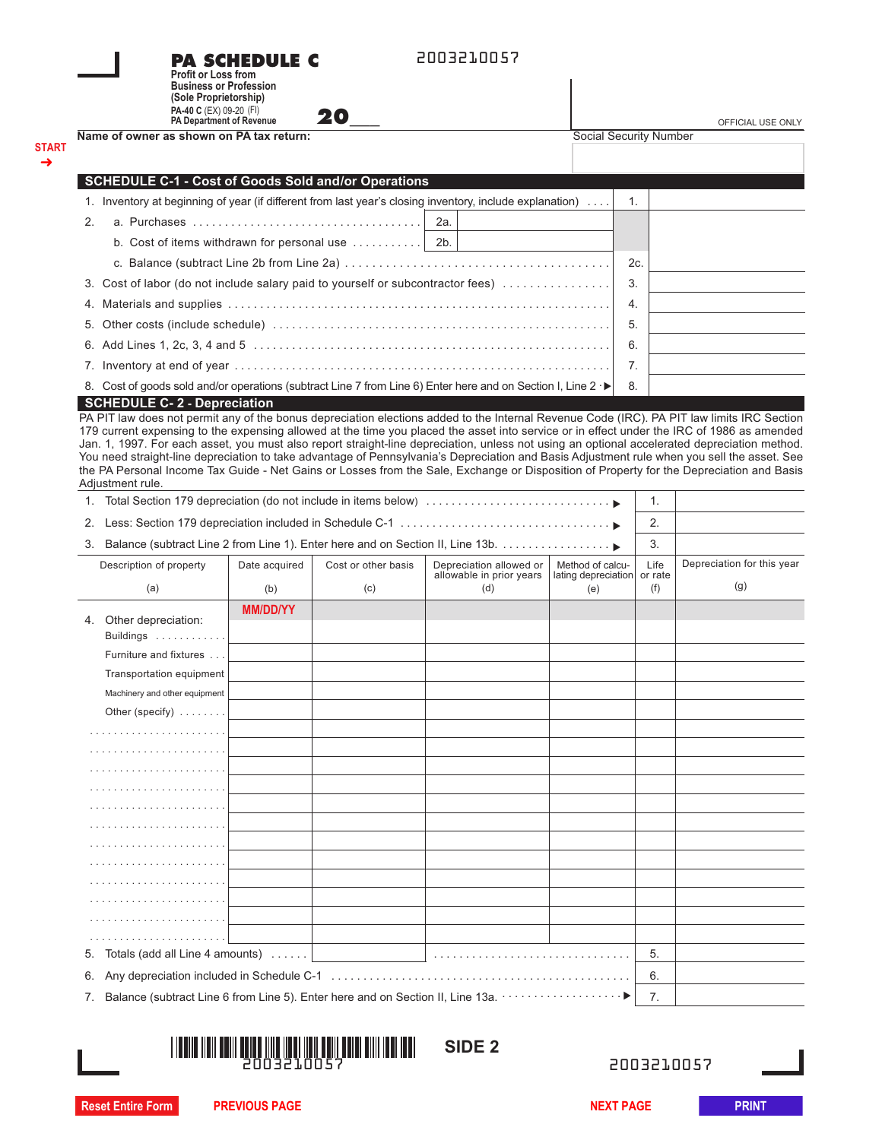| Name of owner as shown on PA tax return:<br><b>Social Security Number</b><br>→<br><b>SCHEDULE C-1 - Cost of Goods Sold and/or Operations</b><br>1. Inventory at beginning of year (if different from last year's closing inventory, include explanation)<br>1.<br>2.<br>a. Purchases $\ldots \ldots \ldots \ldots \ldots \ldots \ldots \ldots \ldots \ldots$<br>2a.<br>b. Cost of items withdrawn for personal use $\dots\dots\dots\dots$<br>2b.<br>2c.<br>3.<br>3. Cost of labor (do not include salary paid to yourself or subcontractor fees)<br>4.<br>4.<br>5.<br>5.<br>6.<br>7.<br>8. Cost of goods sold and/or operations (subtract Line 7 from Line 6) Enter here and on Section I, Line 2 ·▶<br>8.<br><b>SCHEDULE C-2 - Depreciation</b><br>Adjustment rule.<br>1. Total Section 179 depreciation (do not include in items below)<br>1.<br>2.<br>2.<br>3.<br>3. Balance (subtract Line 2 from Line 1). Enter here and on Section II, Line 13b.<br>Life<br>Depreciation allowed or<br>Method of calcu-<br>Description of property<br>Date acquired<br>Cost or other basis<br>allowable in prior years<br>lating depreciation<br>or rate<br>(g)<br>(a)<br>(b)<br>(c)<br>(f)<br>(d)<br>(e)<br><b>MM/DD/YY</b><br>4. Other depreciation:<br>Buildings $\dots\dots\dots\dots$<br>Furniture and fixtures<br>Transportation equipment<br>Machinery and other equipment<br>Other (specify) $\ldots \ldots$ |              | <b>Profit or Loss from</b><br><b>Business or Profession</b><br>(Sole Proprietorship)<br>PA-40 C (EX) 09-20 (FI)<br>PA Department of Revenue | <b>PA SCHEDULE C</b> | 20 | 2003210057 |  | OFFICIAL USE ONLY |
|------------------------------------------------------------------------------------------------------------------------------------------------------------------------------------------------------------------------------------------------------------------------------------------------------------------------------------------------------------------------------------------------------------------------------------------------------------------------------------------------------------------------------------------------------------------------------------------------------------------------------------------------------------------------------------------------------------------------------------------------------------------------------------------------------------------------------------------------------------------------------------------------------------------------------------------------------------------------------------------------------------------------------------------------------------------------------------------------------------------------------------------------------------------------------------------------------------------------------------------------------------------------------------------------------------------------------------------------------------------------------------------------------------|--------------|---------------------------------------------------------------------------------------------------------------------------------------------|----------------------|----|------------|--|-------------------|
|                                                                                                                                                                                                                                                                                                                                                                                                                                                                                                                                                                                                                                                                                                                                                                                                                                                                                                                                                                                                                                                                                                                                                                                                                                                                                                                                                                                                            | <b>START</b> |                                                                                                                                             |                      |    |            |  |                   |
|                                                                                                                                                                                                                                                                                                                                                                                                                                                                                                                                                                                                                                                                                                                                                                                                                                                                                                                                                                                                                                                                                                                                                                                                                                                                                                                                                                                                            |              |                                                                                                                                             |                      |    |            |  |                   |
| Depreciation for this year                                                                                                                                                                                                                                                                                                                                                                                                                                                                                                                                                                                                                                                                                                                                                                                                                                                                                                                                                                                                                                                                                                                                                                                                                                                                                                                                                                                 |              |                                                                                                                                             |                      |    |            |  |                   |
|                                                                                                                                                                                                                                                                                                                                                                                                                                                                                                                                                                                                                                                                                                                                                                                                                                                                                                                                                                                                                                                                                                                                                                                                                                                                                                                                                                                                            |              |                                                                                                                                             |                      |    |            |  |                   |
|                                                                                                                                                                                                                                                                                                                                                                                                                                                                                                                                                                                                                                                                                                                                                                                                                                                                                                                                                                                                                                                                                                                                                                                                                                                                                                                                                                                                            |              |                                                                                                                                             |                      |    |            |  |                   |
|                                                                                                                                                                                                                                                                                                                                                                                                                                                                                                                                                                                                                                                                                                                                                                                                                                                                                                                                                                                                                                                                                                                                                                                                                                                                                                                                                                                                            |              |                                                                                                                                             |                      |    |            |  |                   |
|                                                                                                                                                                                                                                                                                                                                                                                                                                                                                                                                                                                                                                                                                                                                                                                                                                                                                                                                                                                                                                                                                                                                                                                                                                                                                                                                                                                                            |              |                                                                                                                                             |                      |    |            |  |                   |
|                                                                                                                                                                                                                                                                                                                                                                                                                                                                                                                                                                                                                                                                                                                                                                                                                                                                                                                                                                                                                                                                                                                                                                                                                                                                                                                                                                                                            |              |                                                                                                                                             |                      |    |            |  |                   |
| PA PIT law does not permit any of the bonus depreciation elections added to the Internal Revenue Code (IRC). PA PIT law limits IRC Section<br>179 current expensing to the expensing allowed at the time you placed the asset into service or in effect under the IRC of 1986 as amended<br>Jan. 1, 1997. For each asset, you must also report straight-line depreciation, unless not using an optional accelerated depreciation method.<br>You need straight-line depreciation to take advantage of Pennsylvania's Depreciation and Basis Adjustment rule when you sell the asset. See<br>the PA Personal Income Tax Guide - Net Gains or Losses from the Sale, Exchange or Disposition of Property for the Depreciation and Basis                                                                                                                                                                                                                                                                                                                                                                                                                                                                                                                                                                                                                                                                        |              |                                                                                                                                             |                      |    |            |  |                   |
|                                                                                                                                                                                                                                                                                                                                                                                                                                                                                                                                                                                                                                                                                                                                                                                                                                                                                                                                                                                                                                                                                                                                                                                                                                                                                                                                                                                                            |              |                                                                                                                                             |                      |    |            |  |                   |
|                                                                                                                                                                                                                                                                                                                                                                                                                                                                                                                                                                                                                                                                                                                                                                                                                                                                                                                                                                                                                                                                                                                                                                                                                                                                                                                                                                                                            |              |                                                                                                                                             |                      |    |            |  |                   |
|                                                                                                                                                                                                                                                                                                                                                                                                                                                                                                                                                                                                                                                                                                                                                                                                                                                                                                                                                                                                                                                                                                                                                                                                                                                                                                                                                                                                            |              |                                                                                                                                             |                      |    |            |  |                   |
|                                                                                                                                                                                                                                                                                                                                                                                                                                                                                                                                                                                                                                                                                                                                                                                                                                                                                                                                                                                                                                                                                                                                                                                                                                                                                                                                                                                                            |              |                                                                                                                                             |                      |    |            |  |                   |
|                                                                                                                                                                                                                                                                                                                                                                                                                                                                                                                                                                                                                                                                                                                                                                                                                                                                                                                                                                                                                                                                                                                                                                                                                                                                                                                                                                                                            |              |                                                                                                                                             |                      |    |            |  |                   |
|                                                                                                                                                                                                                                                                                                                                                                                                                                                                                                                                                                                                                                                                                                                                                                                                                                                                                                                                                                                                                                                                                                                                                                                                                                                                                                                                                                                                            |              |                                                                                                                                             |                      |    |            |  |                   |
|                                                                                                                                                                                                                                                                                                                                                                                                                                                                                                                                                                                                                                                                                                                                                                                                                                                                                                                                                                                                                                                                                                                                                                                                                                                                                                                                                                                                            |              |                                                                                                                                             |                      |    |            |  |                   |
|                                                                                                                                                                                                                                                                                                                                                                                                                                                                                                                                                                                                                                                                                                                                                                                                                                                                                                                                                                                                                                                                                                                                                                                                                                                                                                                                                                                                            |              |                                                                                                                                             |                      |    |            |  |                   |
|                                                                                                                                                                                                                                                                                                                                                                                                                                                                                                                                                                                                                                                                                                                                                                                                                                                                                                                                                                                                                                                                                                                                                                                                                                                                                                                                                                                                            |              |                                                                                                                                             |                      |    |            |  |                   |
|                                                                                                                                                                                                                                                                                                                                                                                                                                                                                                                                                                                                                                                                                                                                                                                                                                                                                                                                                                                                                                                                                                                                                                                                                                                                                                                                                                                                            |              |                                                                                                                                             |                      |    |            |  |                   |
|                                                                                                                                                                                                                                                                                                                                                                                                                                                                                                                                                                                                                                                                                                                                                                                                                                                                                                                                                                                                                                                                                                                                                                                                                                                                                                                                                                                                            |              |                                                                                                                                             |                      |    |            |  |                   |
|                                                                                                                                                                                                                                                                                                                                                                                                                                                                                                                                                                                                                                                                                                                                                                                                                                                                                                                                                                                                                                                                                                                                                                                                                                                                                                                                                                                                            |              |                                                                                                                                             |                      |    |            |  |                   |
|                                                                                                                                                                                                                                                                                                                                                                                                                                                                                                                                                                                                                                                                                                                                                                                                                                                                                                                                                                                                                                                                                                                                                                                                                                                                                                                                                                                                            |              |                                                                                                                                             |                      |    |            |  |                   |
|                                                                                                                                                                                                                                                                                                                                                                                                                                                                                                                                                                                                                                                                                                                                                                                                                                                                                                                                                                                                                                                                                                                                                                                                                                                                                                                                                                                                            |              |                                                                                                                                             |                      |    |            |  |                   |
|                                                                                                                                                                                                                                                                                                                                                                                                                                                                                                                                                                                                                                                                                                                                                                                                                                                                                                                                                                                                                                                                                                                                                                                                                                                                                                                                                                                                            |              |                                                                                                                                             |                      |    |            |  |                   |
|                                                                                                                                                                                                                                                                                                                                                                                                                                                                                                                                                                                                                                                                                                                                                                                                                                                                                                                                                                                                                                                                                                                                                                                                                                                                                                                                                                                                            |              |                                                                                                                                             |                      |    |            |  |                   |
|                                                                                                                                                                                                                                                                                                                                                                                                                                                                                                                                                                                                                                                                                                                                                                                                                                                                                                                                                                                                                                                                                                                                                                                                                                                                                                                                                                                                            |              |                                                                                                                                             |                      |    |            |  |                   |
|                                                                                                                                                                                                                                                                                                                                                                                                                                                                                                                                                                                                                                                                                                                                                                                                                                                                                                                                                                                                                                                                                                                                                                                                                                                                                                                                                                                                            |              |                                                                                                                                             |                      |    |            |  |                   |
|                                                                                                                                                                                                                                                                                                                                                                                                                                                                                                                                                                                                                                                                                                                                                                                                                                                                                                                                                                                                                                                                                                                                                                                                                                                                                                                                                                                                            |              |                                                                                                                                             |                      |    |            |  |                   |
|                                                                                                                                                                                                                                                                                                                                                                                                                                                                                                                                                                                                                                                                                                                                                                                                                                                                                                                                                                                                                                                                                                                                                                                                                                                                                                                                                                                                            |              |                                                                                                                                             |                      |    |            |  |                   |
|                                                                                                                                                                                                                                                                                                                                                                                                                                                                                                                                                                                                                                                                                                                                                                                                                                                                                                                                                                                                                                                                                                                                                                                                                                                                                                                                                                                                            |              |                                                                                                                                             |                      |    |            |  |                   |
|                                                                                                                                                                                                                                                                                                                                                                                                                                                                                                                                                                                                                                                                                                                                                                                                                                                                                                                                                                                                                                                                                                                                                                                                                                                                                                                                                                                                            |              |                                                                                                                                             |                      |    |            |  |                   |
|                                                                                                                                                                                                                                                                                                                                                                                                                                                                                                                                                                                                                                                                                                                                                                                                                                                                                                                                                                                                                                                                                                                                                                                                                                                                                                                                                                                                            |              |                                                                                                                                             |                      |    |            |  |                   |
|                                                                                                                                                                                                                                                                                                                                                                                                                                                                                                                                                                                                                                                                                                                                                                                                                                                                                                                                                                                                                                                                                                                                                                                                                                                                                                                                                                                                            |              |                                                                                                                                             |                      |    |            |  |                   |
|                                                                                                                                                                                                                                                                                                                                                                                                                                                                                                                                                                                                                                                                                                                                                                                                                                                                                                                                                                                                                                                                                                                                                                                                                                                                                                                                                                                                            |              |                                                                                                                                             |                      |    |            |  |                   |
|                                                                                                                                                                                                                                                                                                                                                                                                                                                                                                                                                                                                                                                                                                                                                                                                                                                                                                                                                                                                                                                                                                                                                                                                                                                                                                                                                                                                            |              |                                                                                                                                             |                      |    |            |  |                   |
|                                                                                                                                                                                                                                                                                                                                                                                                                                                                                                                                                                                                                                                                                                                                                                                                                                                                                                                                                                                                                                                                                                                                                                                                                                                                                                                                                                                                            |              |                                                                                                                                             |                      |    |            |  |                   |

| 5. Totals (add all Line 4 amounts)                                                       |  |  |  |  |  |
|------------------------------------------------------------------------------------------|--|--|--|--|--|
|                                                                                          |  |  |  |  |  |
| 7. Balance (subtract Line 6 from Line 5). Enter here and on Section II, Line 13a. •   7. |  |  |  |  |  |



 **SIDE 2**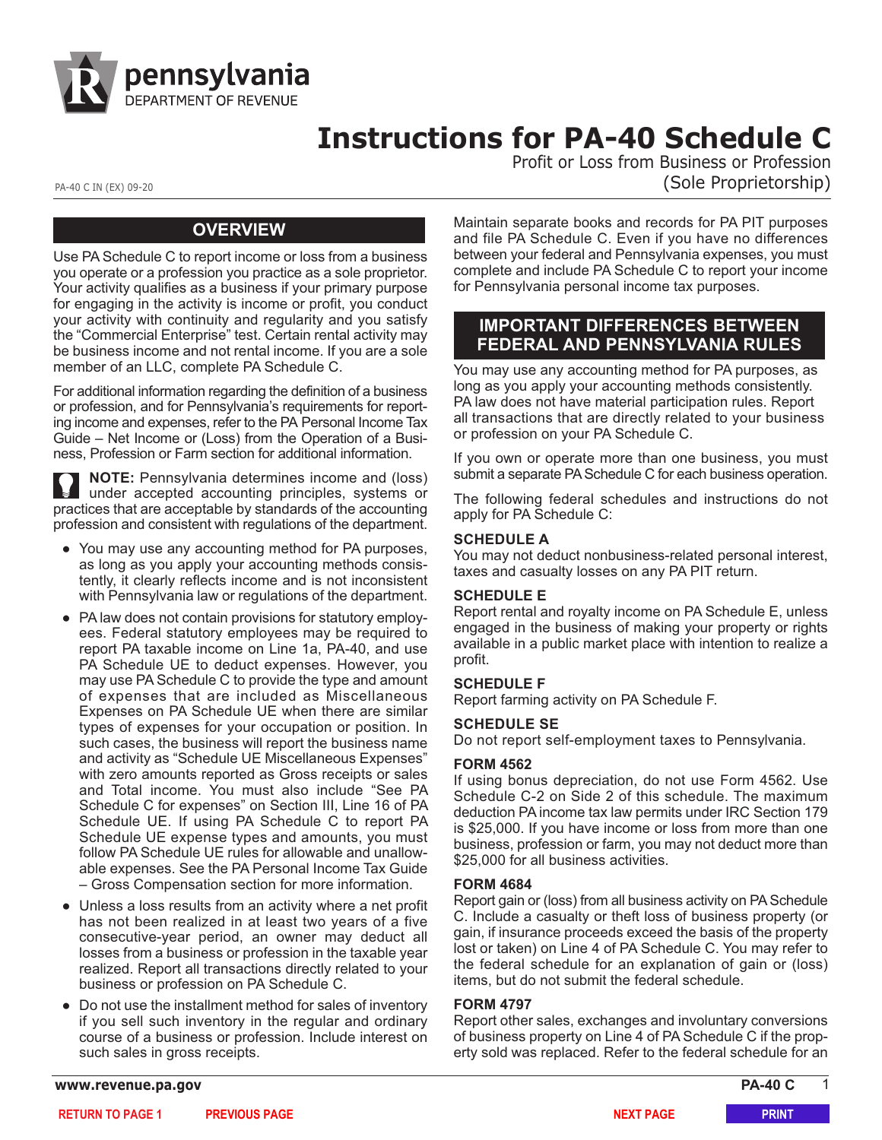

# **Instructions for PA-40 Schedule C**

Profit or Loss from Business or Profession PA-40 C IN (EX) 09-20 (Sole Proprietorship)

# **OVERVIEW**

Use PA Schedule C to report income or loss from a business you operate or a profession you practice as a sole proprietor. Your activity qualifies as a business if your primary purpose for engaging in the activity is income or profit, you conduct your activity with continuity and regularity and you satisfy the "Commercial Enterprise" test. Certain rental activity may be business income and not rental income. If you are a sole member of an LLC, complete PA Schedule C.

For additional information regarding the definition of a business or profession, and for Pennsylvania's requirements for report[ing income and expenses, refer to the PA Personal Income Tax](https://www.revenue.pa.gov/FormsandPublications/PAPersonalIncomeTaxGuide/Pages/Income-Loss-Business-Profession-Farm.aspx) Guide – Net Income or (Loss) from the Operation of a Business, Profession or Farm section for additional information.

**NOTE:** Pennsylvania determines income and (loss) under accepted accounting principles, systems or practices that are acceptable by standards of the accounting profession and consistent with regulations of the department.

- You may use any accounting method for PA purposes, as long as you apply your accounting methods consistently, it clearly reflects income and is not inconsistent with Pennsylvania law or regulations of the department.
- PA law does not contain provisions for statutory employees. Federal statutory employees may be required to report PA taxable income on Line 1a, PA-40, and use PA Schedule UE to deduct expenses. However, you may use PA Schedule C to provide the type and amount of expenses that are included as Miscellaneous Expenses on PA Schedule UE when there are similar types of expenses for your occupation or position. In such cases, the business will report the business name and activity as "Schedule UE Miscellaneous Expenses" with zero amounts reported as Gross receipts or sales and Total income. You must also include "See PA Schedule C for expenses" on Section III, Line 16 of PA Schedule UE. If using PA Schedule C to report PA Schedule UE expense types and amounts, you must follow PA Schedule UE rules for allowable and unallowable expenses. [See the PA Personal Income Tax Guide](https://www.revenue.pa.gov/FormsandPublications/PAPersonalIncomeTaxGuide/Pages/Gross-Compensation.aspx) – Gross Compensation [section for more information.](https://www.revenue.pa.gov/FormsandPublications/PAPersonalIncomeTaxGuide/Pages/Gross-Compensation.aspx)
- Unless a loss results from an activity where a net profit has not been realized in at least two years of a five consecutive-year period, an owner may deduct all losses from a business or profession in the taxable year realized. Report all transactions directly related to your business or profession on PA Schedule C.
- Do not use the installment method for sales of inventory if you sell such inventory in the regular and ordinary course of a business or profession. Include interest on such sales in gross receipts.

Maintain separate books and records for PA PIT purposes and file PA Schedule C. Even if you have no differences between your federal and Pennsylvania expenses, you must complete and include PA Schedule C to report your income for Pennsylvania personal income tax purposes.

# **IMPORTANT DIFFERENCES BETWEEN FEDERAL AND PENNSYLVANIA RULES**

You may use any accounting method for PA purposes, as long as you apply your accounting methods consistently. PA law does not have material participation rules. Report all transactions that are directly related to your business or profession on your PA Schedule C.

If you own or operate more than one business, you must submit a separate PA Schedule C for each business operation.

The following federal schedules and instructions do not apply for PA Schedule C:

#### **SCHEDULE A**

You may not deduct nonbusiness-related personal interest, taxes and casualty losses on any PA PIT return.

#### **SCHEDULE E**

Report rental and royalty income on PA Schedule E, unless engaged in the business of making your property or rights available in a public market place with intention to realize a profit.

#### **SCHEDULE F**

Report farming activity on PA Schedule F.

#### **SCHEDULE SE**

Do not report self-employment taxes to Pennsylvania.

#### **FORM 4562**

If using bonus depreciation, do not use Form 4562. Use Schedule C-2 on Side 2 of this schedule. The maximum deduction PA income tax law permits under IRC Section 179 is \$25,000. If you have income or loss from more than one business, profession or farm, you may not deduct more than \$25,000 for all business activities.

#### **FORM 4684**

Report gain or (loss) from all business activity on PA Schedule C. Include a casualty or theft loss of business property (or gain, if insurance proceeds exceed the basis of the property lost or taken) on Line 4 of PA Schedule C. You may refer to the federal schedule for an explanation of gain or (loss) items, but do not submit the federal schedule.

#### **FORM 4797**

Report other sales, exchanges and involuntary conversions of business property on Line 4 of PA Schedule C if the property sold was replaced. Refer to the federal schedule for an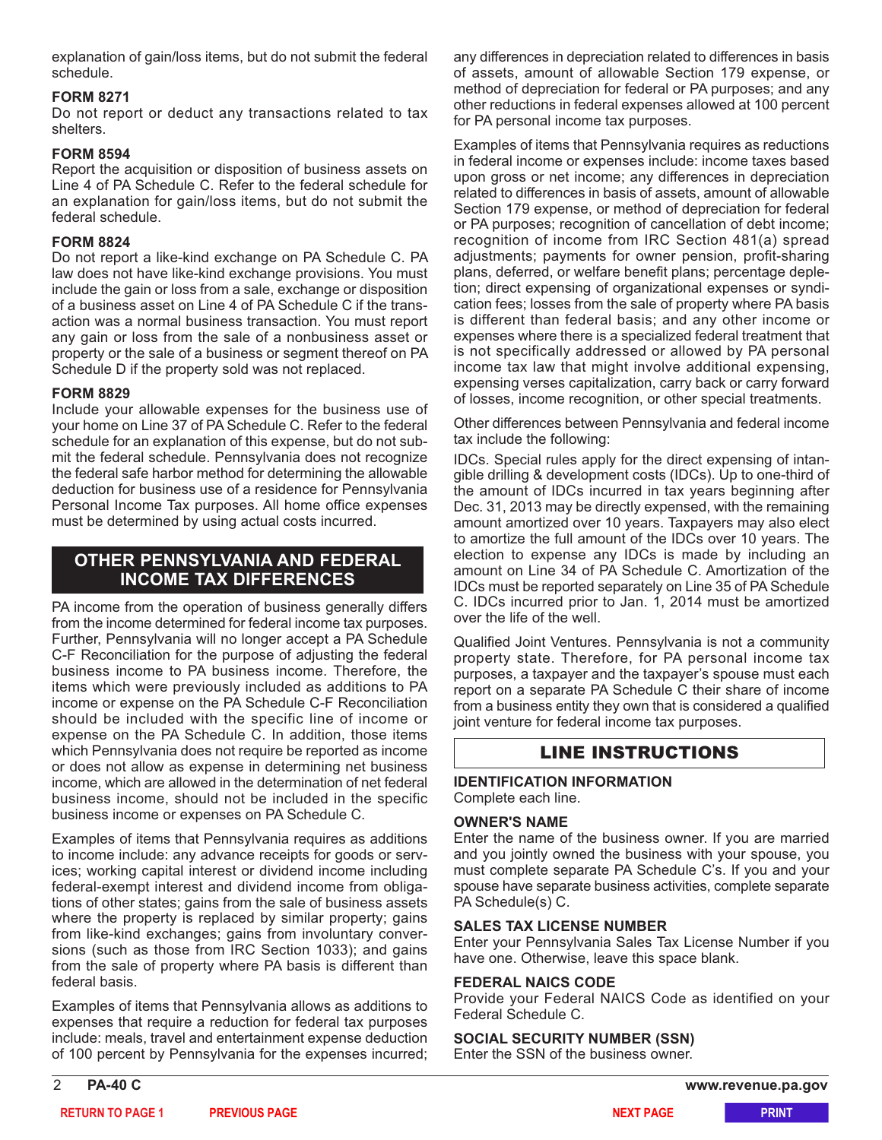explanation of gain/loss items, but do not submit the federal schedule.

#### **FORM 8271**

Do not report or deduct any transactions related to tax shelters.

#### **FORM 8594**

Report the acquisition or disposition of business assets on Line 4 of PA Schedule C. Refer to the federal schedule for an explanation for gain/loss items, but do not submit the federal schedule.

### **FORM 8824**

Do not report a like-kind exchange on PA Schedule C. PA law does not have like-kind exchange provisions. You must include the gain or loss from a sale, exchange or disposition of a business asset on Line 4 of PA Schedule C if the transaction was a normal business transaction. You must report any gain or loss from the sale of a nonbusiness asset or property or the sale of a business or segment thereof on PA Schedule D if the property sold was not replaced.

#### **FORM 8829**

Include your allowable expenses for the business use of your home on Line 37 of PA Schedule C. Refer to the federal schedule for an explanation of this expense, but do not submit the federal schedule. Pennsylvania does not recognize the federal safe harbor method for determining the allowable deduction for business use of a residence for Pennsylvania Personal Income Tax purposes. All home office expenses must be determined by using actual costs incurred.

# **OTHER PENNSYLVANIA AND FEDERAL INCOME TAX DIFFERENCES**

PA income from the operation of business generally differs from the income determined for federal income tax purposes. Further, Pennsylvania will no longer accept a PA Schedule C-F Reconciliation for the purpose of adjusting the federal business income to PA business income. Therefore, the items which were previously included as additions to PA income or expense on the PA Schedule C-F Reconciliation should be included with the specific line of income or expense on the PA Schedule C. In addition, those items which Pennsylvania does not require be reported as income or does not allow as expense in determining net business income, which are allowed in the determination of net federal business income, should not be included in the specific business income or expenses on PA Schedule C.

Examples of items that Pennsylvania requires as additions to income include: any advance receipts for goods or services; working capital interest or dividend income including federal-exempt interest and dividend income from obligations of other states; gains from the sale of business assets where the property is replaced by similar property; gains from like-kind exchanges; gains from involuntary conversions (such as those from IRC Section 1033); and gains from the sale of property where PA basis is different than federal basis.

Examples of items that Pennsylvania allows as additions to expenses that require a reduction for federal tax purposes include: meals, travel and entertainment expense deduction of 100 percent by Pennsylvania for the expenses incurred;

any differences in depreciation related to differences in basis of assets, amount of allowable Section 179 expense, or method of depreciation for federal or PA purposes; and any other reductions in federal expenses allowed at 100 percent for PA personal income tax purposes.

Examples of items that Pennsylvania requires as reductions in federal income or expenses include: income taxes based upon gross or net income; any differences in depreciation related to differences in basis of assets, amount of allowable Section 179 expense, or method of depreciation for federal or PA purposes; recognition of cancellation of debt income; recognition of income from IRC Section 481(a) spread adjustments; payments for owner pension, profit-sharing plans, deferred, or welfare benefit plans; percentage depletion; direct expensing of organizational expenses or syndication fees; losses from the sale of property where PA basis is different than federal basis; and any other income or expenses where there is a specialized federal treatment that is not specifically addressed or allowed by PA personal income tax law that might involve additional expensing, expensing verses capitalization, carry back or carry forward of losses, income recognition, or other special treatments.

Other differences between Pennsylvania and federal income tax include the following:

IDCs. Special rules apply for the direct expensing of intangible drilling & development costs (IDCs). Up to one-third of the amount of IDCs incurred in tax years beginning after Dec. 31, 2013 may be directly expensed, with the remaining amount amortized over 10 years. Taxpayers may also elect to amortize the full amount of the IDCs over 10 years. The election to expense any IDCs is made by including an amount on Line 34 of PA Schedule C. Amortization of the IDCs must be reported separately on Line 35 of PA Schedule C. IDCs incurred prior to Jan. 1, 2014 must be amortized over the life of the well.

Qualified Joint Ventures. Pennsylvania is not a community property state. Therefore, for PA personal income tax purposes, a taxpayer and the taxpayer's spouse must each report on a separate PA Schedule C their share of income from a business entity they own that is considered a qualified joint venture for federal income tax purposes.

# LINE INSTRUCTIONS

#### **IDENTIFICATION INFORMATION** Complete each line.

#### **OWNER'S NAME**

Enter the name of the business owner. If you are married and you jointly owned the business with your spouse, you must complete separate PA Schedule C's. If you and your spouse have separate business activities, complete separate PA Schedule(s) C.

#### **SALES TAX LICENSE NUMBER**

Enter your Pennsylvania Sales Tax License Number if you have one. Otherwise, leave this space blank.

#### **FEDERAL NAICS CODE**

Provide your Federal NAICS Code as identified on your Federal Schedule C.

#### **SOCIAL SECURITY NUMBER (SSN)**

Enter the SSN of the business owner.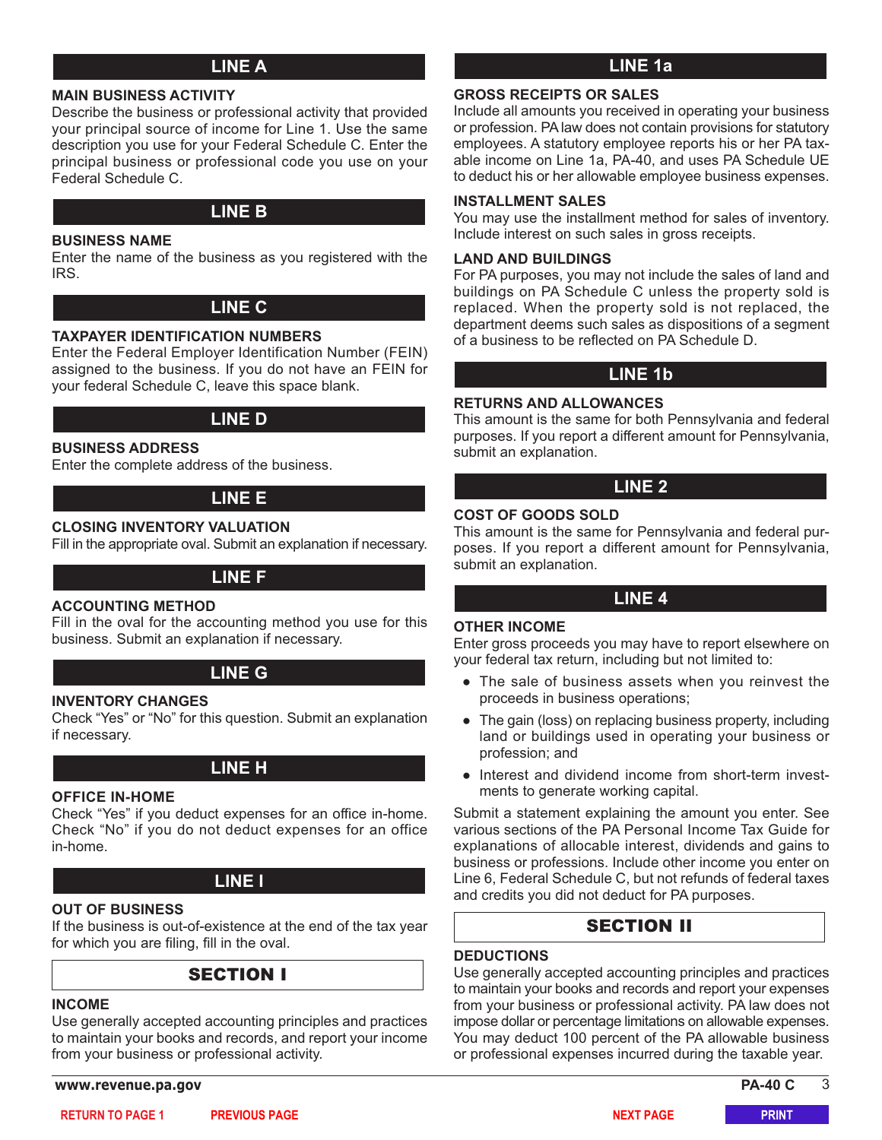# **LINE A**

#### **MAIN BUSINESS ACTIVITY**

Describe the business or professional activity that provided your principal source of income for Line 1. Use the same description you use for your Federal Schedule C. Enter the principal business or professional code you use on your Federal Schedule C.

# **LINE B**

#### **BUSINESS NAME**

Enter the name of the business as you registered with the IRS.

# **LINE C**

#### **TAXPAYER IDENTIFICATION NUMBERS**

Enter the Federal Employer Identification Number (FEIN) assigned to the business. If you do not have an FEIN for your federal Schedule C, leave this space blank.

# **LINE D**

#### **BUSINESS ADDRESS**

Enter the complete address of the business.

# **LINE E**

#### **CLOSING INVENTORY VALUATION**

Fill in the appropriate oval. Submit an explanation if necessary.

# **LINE F**

#### **ACCOUNTING METHOD**

Fill in the oval for the accounting method you use for this business. Submit an explanation if necessary.

# **LINE G**

#### **INVENTORY CHANGES**

Check "Yes" or "No" for this question. Submit an explanation if necessary.

# **LINE H**

#### **OFFICE IN-HOME**

Check "Yes" if you deduct expenses for an office in-home. Check "No" if you do not deduct expenses for an office in-home.

# **LINE I**

#### **OUT OF BUSINESS**

If the business is out-of-existence at the end of the tax year for which you are filing, fill in the oval.

# SECTION I

#### **INCOME**

Use generally accepted accounting principles and practices to maintain your books and records, and report your income from your business or professional activity.

**www.revenue.pa.gov PA-40 C** 3

# **LINE 1a**

### **GROSS RECEIPTS OR SALES**

Include all amounts you received in operating your business or profession. PA law does not contain provisions for statutory employees. A statutory employee reports his or her PA taxable income on Line 1a, PA-40, and uses PA Schedule UE to deduct his or her allowable employee business expenses.

#### **INSTALLMENT SALES**

You may use the installment method for sales of inventory. Include interest on such sales in gross receipts.

#### **LAND AND BUILDINGS**

For PA purposes, you may not include the sales of land and buildings on PA Schedule C unless the property sold is replaced. When the property sold is not replaced, the department deems such sales as dispositions of a segment of a business to be reflected on PA Schedule D.

# **LINE 1b**

#### **RETURNS AND ALLOWANCES**

This amount is the same for both Pennsylvania and federal purposes. If you report a different amount for Pennsylvania, submit an explanation.

# **LINE 2**

### **COST OF GOODS SOLD**

This amount is the same for Pennsylvania and federal purposes. If you report a different amount for Pennsylvania, submit an explanation.

#### **LINE 4**

#### **OTHER INCOME**

Enter gross proceeds you may have to report elsewhere on your federal tax return, including but not limited to:

- The sale of business assets when you reinvest the proceeds in business operations;
- The gain (loss) on replacing business property, including land or buildings used in operating your business or profession; and
- Interest and dividend income from short-term investments to generate working capital.

Submit a statement explaining the amount you enter. [See](https://www.revenue.pa.gov/FormsandPublications/PAPersonalIncomeTaxGuide/Pages/default.aspx) various sections of the PA Personal Income Tax Guide for [explanations of allocable interest, dividends and gains to](https://www.revenue.pa.gov/FormsandPublications/PAPersonalIncomeTaxGuide/Pages/default.aspx) [business or professions.](https://www.revenue.pa.gov/FormsandPublications/PAPersonalIncomeTaxGuide/Pages/default.aspx) Include other income you enter on Line 6, Federal Schedule C, but not refunds of federal taxes and credits you did not deduct for PA purposes.

# SECTION II

#### **DEDUCTIONS**

Use generally accepted accounting principles and practices to maintain your books and records and report your expenses from your business or professional activity. PA law does not impose dollar or percentage limitations on allowable expenses. You may deduct 100 percent of the PA allowable business or professional expenses incurred during the taxable year.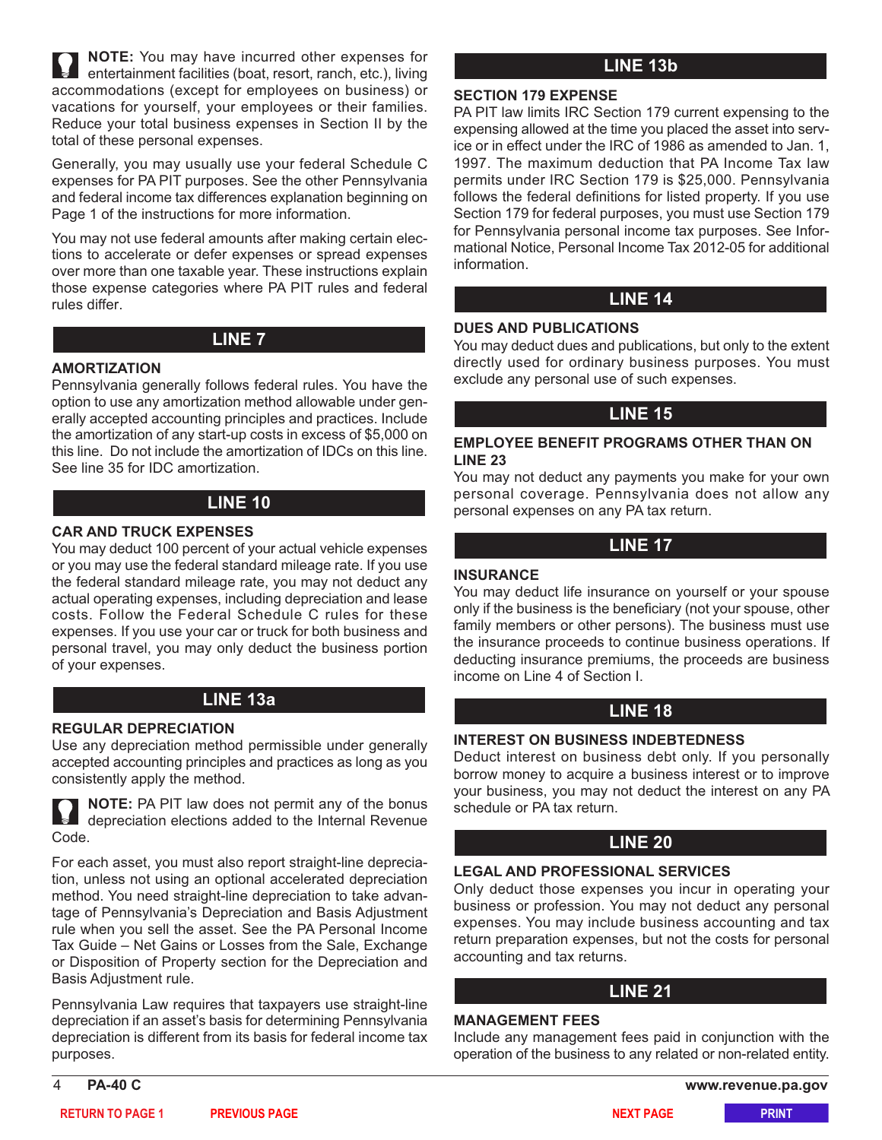**NOTE:** You may have incurred other expenses for entertainment facilities (boat, resort, ranch, etc.), living accommodations (except for employees on business) or vacations for yourself, your employees or their families. Reduce your total business expenses in Section II by the total of these personal expenses.

Generally, you may usually use your federal Schedule C expenses for PA PIT purposes. See the other Pennsylvania and federal income tax differences explanation beginning on Page 1 of the instructions for more information.

You may not use federal amounts after making certain elections to accelerate or defer expenses or spread expenses over more than one taxable year. These instructions explain those expense categories where PA PIT rules and federal rules differ.

# **LINE 7**

#### **AMORTIZATION**

Pennsylvania generally follows federal rules. You have the option to use any amortization method allowable under generally accepted accounting principles and practices. Include the amortization of any start-up costs in excess of \$5,000 on this line. Do not include the amortization of IDCs on this line. See line 35 for IDC amortization.

# **LINE 10**

# **CAR AND TRUCK EXPENSES**

You may deduct 100 percent of your actual vehicle expenses or you may use the federal standard mileage rate. If you use the federal standard mileage rate, you may not deduct any actual operating expenses, including depreciation and lease costs. Follow the Federal Schedule C rules for these expenses. If you use your car or truck for both business and personal travel, you may only deduct the business portion of your expenses.

# **LINE 13a**

#### **REGULAR DEPRECIATION**

Use any depreciation method permissible under generally accepted accounting principles and practices as long as you consistently apply the method.

**NOTE:** PA PIT law does not permit any of the bonus depreciation elections added to the Internal Revenue Code.

For each asset, you must also report straight-line depreciation, unless not using an optional accelerated depreciation method. You need straight-line depreciation to take advantage of Pennsylvania's Depreciation and Basis Adjustment rule when you sell the asset. [See the PA Personal Income](https://www.revenue.pa.gov/FormsandPublications/PAPersonalIncomeTaxGuide/Pages/Gains-Losses-Sale-Exchange-Disposition-Property.aspx) Tax Guide – Net Gains or Losses from the Sale, Exchange [or Disposition of Property section for the Depreciation and](https://www.revenue.pa.gov/FormsandPublications/PAPersonalIncomeTaxGuide/Pages/Gains-Losses-Sale-Exchange-Disposition-Property.aspx) [Basis Adjustment rule.](https://www.revenue.pa.gov/FormsandPublications/PAPersonalIncomeTaxGuide/Pages/Gains-Losses-Sale-Exchange-Disposition-Property.aspx)

Pennsylvania Law requires that taxpayers use straight-line depreciation if an asset's basis for determining Pennsylvania depreciation is different from its basis for federal income tax purposes.

**LINE 13b**

#### **SECTION 179 EXPENSE**

PA PIT law limits IRC Section 179 current expensing to the expensing allowed at the time you placed the asset into service or in effect under the IRC of 1986 as amended to Jan. 1, 1997. The maximum deduction that PA Income Tax law permits under IRC Section 179 is \$25,000. Pennsylvania follows the federal definitions for listed property. If you use Section 179 for federal purposes, you must use Section 179 for Pennsylvania personal income tax purposes. See Informational Notice, Personal Income Tax 2012-05 for additional information.

# **LINE 14**

#### **DUES AND PUBLICATIONS**

You may deduct dues and publications, but only to the extent directly used for ordinary business purposes. You must exclude any personal use of such expenses.

# **LINE 15**

#### **EMPLOYEE BENEFIT PROGRAMS OTHER THAN ON LINE 23**

You may not deduct any payments you make for your own personal coverage. Pennsylvania does not allow any personal expenses on any PA tax return.

# **LINE 17**

### **INSURANCE**

You may deduct life insurance on yourself or your spouse only if the business is the beneficiary (not your spouse, other family members or other persons). The business must use the insurance proceeds to continue business operations. If deducting insurance premiums, the proceeds are business income on Line 4 of Section I.

# **LINE 18**

#### **INTEREST ON BUSINESS INDEBTEDNESS**

Deduct interest on business debt only. If you personally borrow money to acquire a business interest or to improve your business, you may not deduct the interest on any PA schedule or PA tax return.

# **LINE 20**

#### **LEGAL AND PROFESSIONAL SERVICES**

Only deduct those expenses you incur in operating your business or profession. You may not deduct any personal expenses. You may include business accounting and tax return preparation expenses, but not the costs for personal accounting and tax returns.

# **LINE 21**

#### **MANAGEMENT FEES**

Include any management fees paid in conjunction with the operation of the business to any related or non-related entity.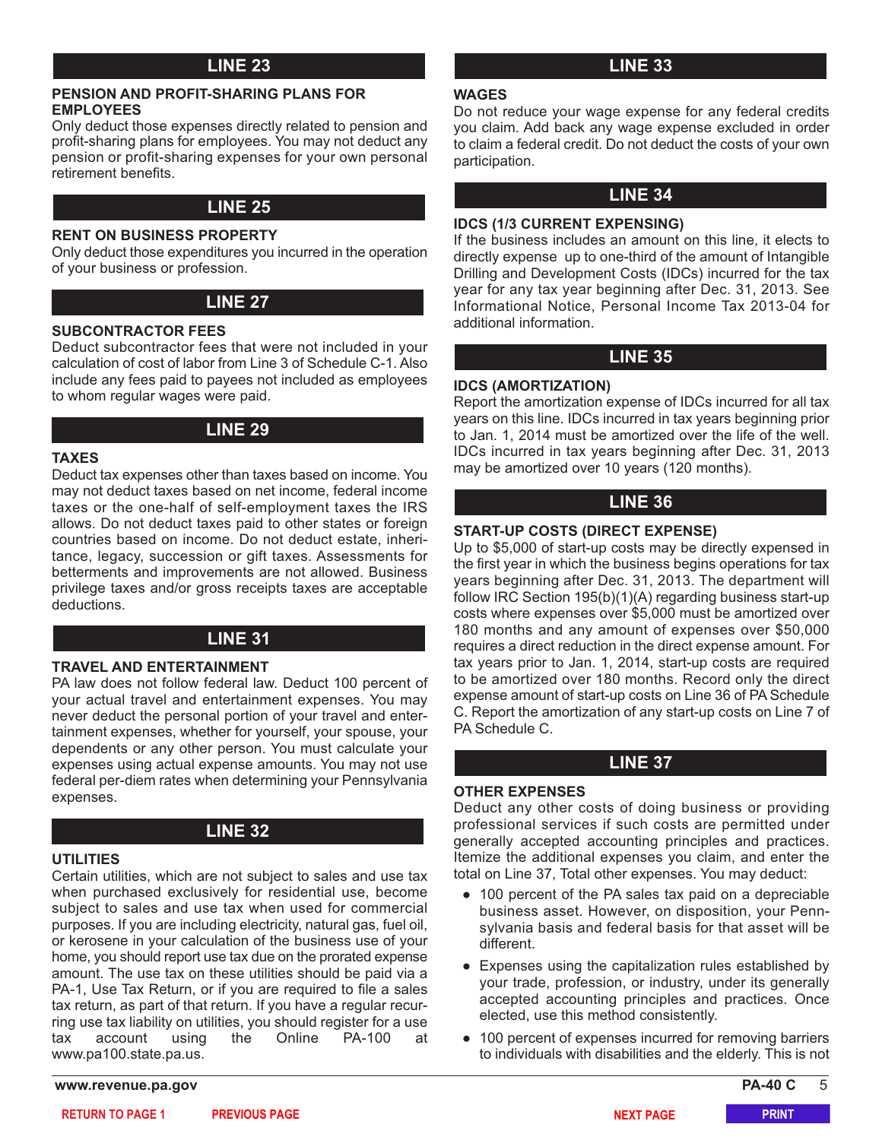# **LINE 23 LINE 33**

#### **PENSION AND PROFIT-SHARING PLANS FOR EMPLOYEES**

Only deduct those expenses directly related to pension and profit-sharing plans for employees. You may not deduct any pension or profit-sharing expenses for your own personal retirement benefits.

# **LINE 25**

#### **RENT ON BUSINESS PROPERTY**

Only deduct those expenditures you incurred in the operation of your business or profession.

# **LINE 27**

#### **SUBCONTRACTOR FEES**

Deduct subcontractor fees that were not included in your calculation of cost of labor from Line 3 of Schedule C-1. Also include any fees paid to payees not included as employees to whom regular wages were paid.

# **LINE 29**

#### **TAXES**

Deduct tax expenses other than taxes based on income. You may not deduct taxes based on net income, federal income taxes or the one-half of self-employment taxes the IRS allows. Do not deduct taxes paid to other states or foreign countries based on income. Do not deduct estate, inheritance, legacy, succession or gift taxes. Assessments for betterments and improvements are not allowed. Business privilege taxes and/or gross receipts taxes are acceptable deductions.

# **LINE 31**

#### **TRAVEL AND ENTERTAINMENT**

PA law does not follow federal law. Deduct 100 percent of your actual travel and entertainment expenses. You may never deduct the personal portion of your travel and entertainment expenses, whether for yourself, your spouse, your dependents or any other person. You must calculate your expenses using actual expense amounts. You may not use federal per-diem rates when determining your Pennsylvania expenses.

# **LINE 32**

#### **UTILITIES**

Certain utilities, which are not subject to sales and use tax when purchased exclusively for residential use, become subject to sales and use tax when used for commercial purposes. If you are including electricity, natural gas, fuel oil, or kerosene in your calculation of the business use of your home, you should report use tax due on the prorated expense amount. The use tax on these utilities should be paid via a PA-1, Use Tax Return, or if you are required to file a sales tax return, as part of that return. If you have a regular recurring use tax liability on utilities, you should register for a use tax account using the Online PA-100 at www.pa100.state.pa.us.

**www.revenue.pa.gov PA-40 C** 5

#### **WAGES**

Do not reduce your wage expense for any federal credits you claim. Add back any wage expense excluded in order to claim a federal credit. Do not deduct the costs of your own participation.

# **LINE 34**

#### **IDCS (1/3 CURRENT EXPENSING)**

If the business includes an amount on this line, it elects to directly expense up to one-third of the amount of Intangible Drilling and Development Costs (IDCs) incurred for the tax year for any tax year beginning after Dec. 31, 2013. See Informational Notice, Personal Income Tax 2013-04 for additional information.

# **LINE 35**

#### **IDCS (AMORTIZATION)**

Report the amortization expense of IDCs incurred for all tax years on this line. IDCs incurred in tax years beginning prior to Jan. 1, 2014 must be amortized over the life of the well. IDCs incurred in tax years beginning after Dec. 31, 2013 may be amortized over 10 years (120 months).

# **LINE 36**

#### **START-UP COSTS (DIRECT EXPENSE)**

Up to \$5,000 of start-up costs may be directly expensed in the first year in which the business begins operations for tax years beginning after Dec. 31, 2013. The department will follow IRC Section 195(b)(1)(A) regarding business start-up costs where expenses over \$5,000 must be amortized over 180 months and any amount of expenses over \$50,000 requires a direct reduction in the direct expense amount. For tax years prior to Jan. 1, 2014, start-up costs are required to be amortized over 180 months. Record only the direct expense amount of start-up costs on Line 36 of PA Schedule C. Report the amortization of any start-up costs on Line 7 of PA Schedule C.

## **LINE 37**

#### **OTHER EXPENSES**

Deduct any other costs of doing business or providing professional services if such costs are permitted under generally accepted accounting principles and practices. Itemize the additional expenses you claim, and enter the total on Line 37, Total other expenses. You may deduct:

- 100 percent of the PA sales tax paid on a depreciable business asset. However, on disposition, your Pennsylvania basis and federal basis for that asset will be different.
- Expenses using the capitalization rules established by your trade, profession, or industry, under its generally accepted accounting principles and practices. Once elected, use this method consistently.
- 100 percent of expenses incurred for removing barriers to individuals with disabilities and the elderly. This is not